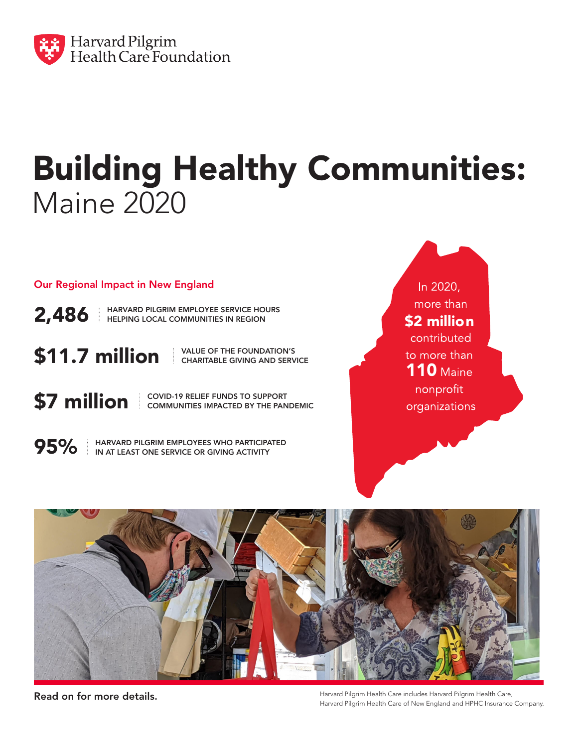

## Building Healthy Communities: Maine 2020

Our Regional Impact in New England

2,486 HARVARD PILGRIM EMPLOYEE SERVICE HOURS HELPING LOCAL COMMUNITIES IN REGION

 $$11.7$  million  $$\,^{\tiny \textsf{\tiny NALUE\,OF\,THE\, FOUNDATION'S}}$$  charitable giving and servi

CHARITABLE GIVING AND SERVICE

**\$7 million** covid-19 relief funds to support COMMUNITIES IMPACTED BY THE PANDEMIC

95%

HARVARD PILGRIM EMPLOYEES WHO PARTICIPATED IN AT LEAST ONE SERVICE OR GIVING ACTIVITY

In 2020, more than \$2 millioncontributed to more than **110 Maine** nonprofit organizations



Read on for more details. Harvard Pilgrim Health Care includes Harvard Pilgrim Health Care, Harvard Pilgrim Health Care of New England and HPHC Insurance Company.